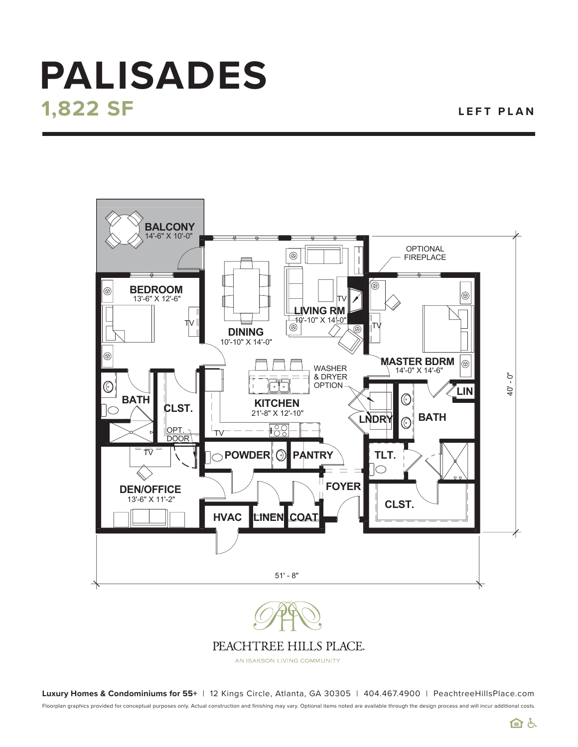## **1,822 SF PALISADES**

**LEFT PLAN**



PEACHTREE HILLS PLACE.

AN ISAKSON LIVING COMMUNITY

Floorplan graphics provided for conceptual purposes only. Actual construction and finishing may vary. Optional items noted are available through the design process and will incur additional costs. **Luxury Homes & Condominiums for 55+** | 12 Kings Circle, Atlanta, GA 30305 | 404.467.4900 | PeachtreeHillsPlace.com